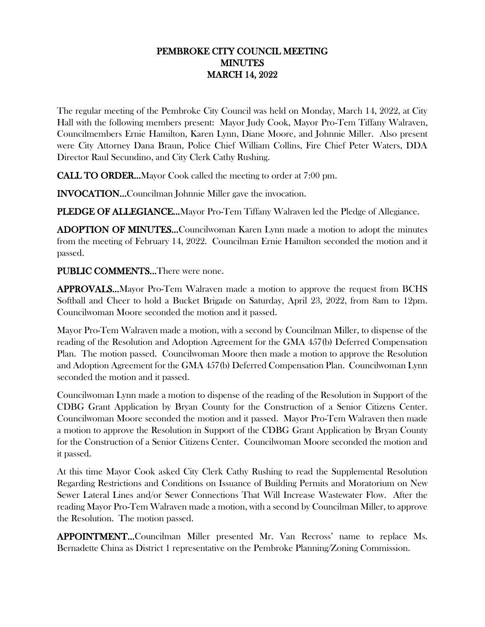## PEMBROKE CITY COUNCIL MEETING MINUTES MARCH 14, 2022

The regular meeting of the Pembroke City Council was held on Monday, March 14, 2022, at City Hall with the following members present: Mayor Judy Cook, Mayor Pro-Tem Tiffany Walraven, Councilmembers Ernie Hamilton, Karen Lynn, Diane Moore, and Johnnie Miller. Also present were City Attorney Dana Braun, Police Chief William Collins, Fire Chief Peter Waters, DDA Director Raul Secundino, and City Clerk Cathy Rushing.

CALL TO ORDER…Mayor Cook called the meeting to order at 7:00 pm.

INVOCATION…Councilman Johnnie Miller gave the invocation.

PLEDGE OF ALLEGIANCE...Mayor Pro-Tem Tiffany Walraven led the Pledge of Allegiance.

ADOPTION OF MINUTES…Councilwoman Karen Lynn made a motion to adopt the minutes from the meeting of February 14, 2022. Councilman Ernie Hamilton seconded the motion and it passed.

PUBLIC COMMENTS…There were none.

APPROVALS…Mayor Pro-Tem Walraven made a motion to approve the request from BCHS Softball and Cheer to hold a Bucket Brigade on Saturday, April 23, 2022, from 8am to 12pm. Councilwoman Moore seconded the motion and it passed.

Mayor Pro-Tem Walraven made a motion, with a second by Councilman Miller, to dispense of the reading of the Resolution and Adoption Agreement for the GMA 457(b) Deferred Compensation Plan. The motion passed. Councilwoman Moore then made a motion to approve the Resolution and Adoption Agreement for the GMA 457(b) Deferred Compensation Plan. Councilwoman Lynn seconded the motion and it passed.

Councilwoman Lynn made a motion to dispense of the reading of the Resolution in Support of the CDBG Grant Application by Bryan County for the Construction of a Senior Citizens Center. Councilwoman Moore seconded the motion and it passed. Mayor Pro-Tem Walraven then made a motion to approve the Resolution in Support of the CDBG Grant Application by Bryan County for the Construction of a Senior Citizens Center. Councilwoman Moore seconded the motion and it passed.

At this time Mayor Cook asked City Clerk Cathy Rushing to read the Supplemental Resolution Regarding Restrictions and Conditions on Issuance of Building Permits and Moratorium on New Sewer Lateral Lines and/or Sewer Connections That Will Increase Wastewater Flow. After the reading Mayor Pro-Tem Walraven made a motion, with a second by Councilman Miller, to approve the Resolution. The motion passed.

APPOINTMENT…Councilman Miller presented Mr. Van Recross' name to replace Ms. Bernadette China as District 1 representative on the Pembroke Planning/Zoning Commission.